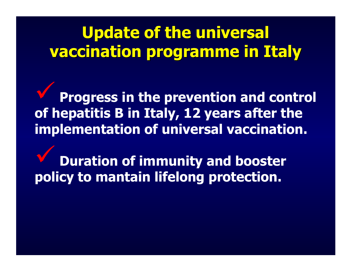# **Update of the universal vaccination programme in Italy**

9**Progress in the prevention and control of hepatitis B in Italy, 12 years after the implementation of universal vaccination.**

9**Duration of immunity and booster policy to mantain lifelong protection.**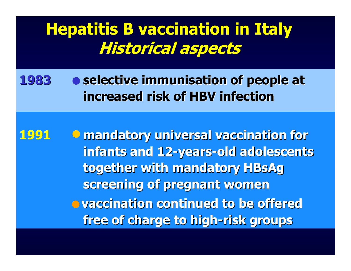### **Hepatitis B vaccination in Italy Hepatitis B vaccination in Italy Historical aspects Historical aspects**

**1983selective immunisation of people at 3 increased risk of HBV infection increased risk of HBV infection** 

**1991 mandatory universal vaccination for mandatory universal vaccination for infants and 12 infants and 12 -years -old adolescents old adolescents together with mandatory together with mandatory HBsAg**  screening of pregnant women **vaccination continued to be offered free of charge to high free of charge to high -risk groups risk groups**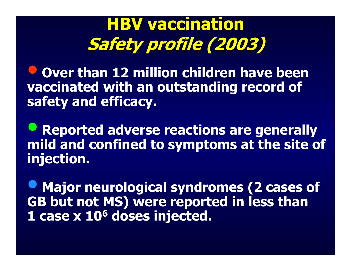# **HBV vaccination vaccination Safety profile (2003)**

 $\bigodot$  **Over than 12 million children have been vaccinated with an outstanding record of safety and efficacy.**

 $\bullet$  **Reported adverse reactions are generally mild and confined to symptoms at the site of injection.** 

 $\bullet$  **Major neurological syndromes (2 cases of GB but not MS) were reported in less than 1 case x 106 doses injected.**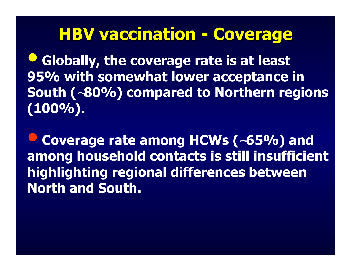### **HBV vaccination - Coverage**

 $\bigodot$  **Globally, the coverage rate is at least 95% with somewhat lower acceptance in South (**∼**80%) compared to Northern regions (100%).**

 $\bigodot$  **Coverage rate among HCWs (**∼**65%) and among household contacts is still insufficient highlighting regional differences between North and South.**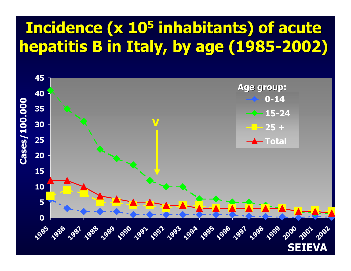# **Incidence Incidence (x 105 inhabitants inhabitants) of acute ) of acute hepatitis hepatitis B in Italy, by age (1985-2002)**

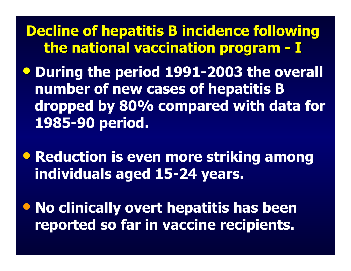**Decline of hepatitis B incidence following the national vaccination national vaccination program program - I**

• **During the period 1991-2003 the overall number of new cases of hepatitis B dropped by 80% compared with data for 1985-90 period.**

• **Reduction is even more striking among individuals aged 15-24 years.**

• **No clinically overt hepatitis has been reported so far in vaccine recipients.**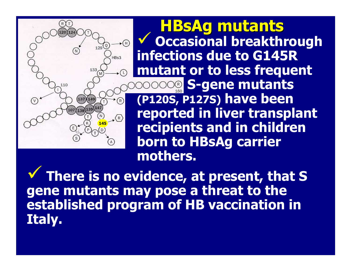9 **Occasional breakthrou gh infections due t oG145R mutant or to less frequent S-gene mutants (P120S, P127S) have been reported in liver transplant recipients and in children born to HBsAg carrier mothers. HBsAg mutants HBsAg mutants**

 $\checkmark$  **There is no evidence, at present, that S gene mutants may pose a threat to the established program of HB vaccination in Italy.** 

**145**

110

V

 $\mathcal{F}(\mathbb{H})$ 

 $HBS3$ 

 $(R)$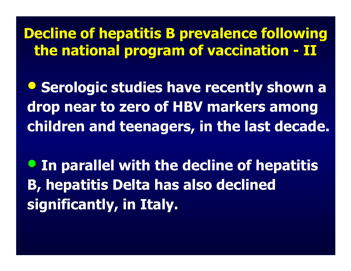**Decline Decline of hepatitis hepatitis B prevalence following prevalence following the national national program of program of vaccination vaccination - II**

• **Serologic studies have recently shown a drop near to zero of HBV markers among children and teenagers, in the last decade.**

• **In parallel with the decline of hepatitis B, hepatitis Delta has also declined significantly, in Italy.**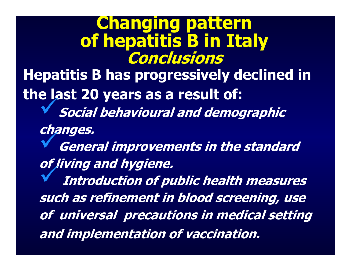**Chang ing pattern of hepatitis B in Italy Conclusions Hepatitis B has progressively declined in** 

**the last 20 years as a result of:**

9**Social behavioural and demographic** 

**changes.** 

9**General improvements in the standard of living and hygiene.** 

9**Introduction of public health measures such as refinement in blood screening, use of universal precautions in medical setting and implementation of vaccination.**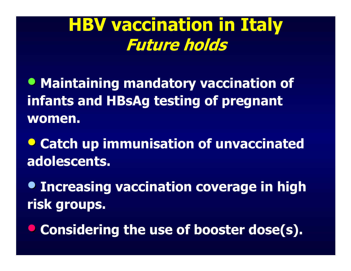# **HBV vaccination in Italy Future holds**

- **Maintaining mandatory vaccination of infants and HBsAg testing of pregnant women.**
- **Catch up immunisation of unvaccinated adolescents.**
- **Increasing vaccination coverage in high risk groups.**
- **Considering the use of booster dose(s).**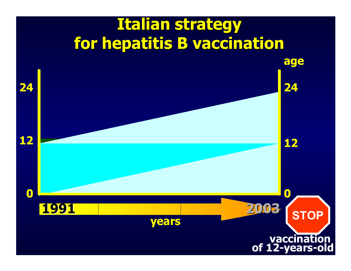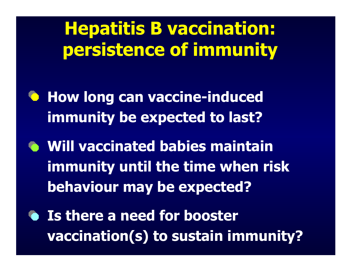**Hepatitis B vaccination: persistence of immunity**

- **A** How long can vaccine-induced **immunity be expected to last?**
- **Will vaccinated babies maintain immunity until the time when risk behaviour may be expected?**
- **Is there a need for booster vaccination(s) to sustain immunity?**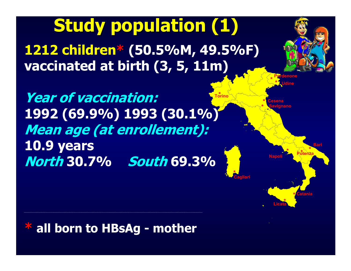**1212 children 1212 children\* (50.5%M, 49.5%F) vaccinated at birth (3, 5, 11m) Study population (1) Study population (1)**

**Torino\*Year of vaccination: 1992 (69.9%) 1993 (30.1%) Mean age (at enrollement): 10.9 years North 30.7% South 69.3%**



#### **\* all born to HBsAg - mother**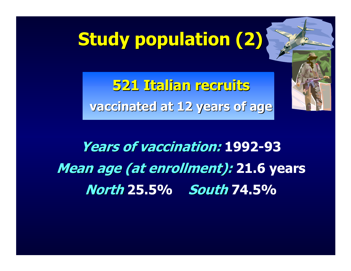# **Study population (2)**

**521 Italian recruits 521 Italian recruits vaccinated at 12 years of age vaccinated at 12 years of age**

# **Years of vaccination: Years of vaccination: 1992-93 Mean age (at enrollment): 21.6 years North 25.5% South 74.5%**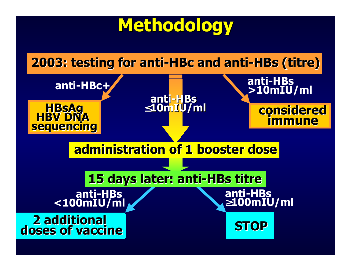# **Methodology Methodology**

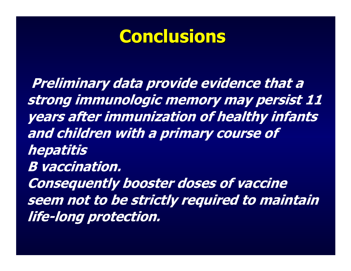# **Conclusions**

**Preliminary data provide evidence that a strong immunologic memory may persist 11 years after immunization of healthy infants and children with a primary course of hepatitis B vaccination. Consequently booster doses of vaccine seem not to be strictly required to maintain life-long protection.**